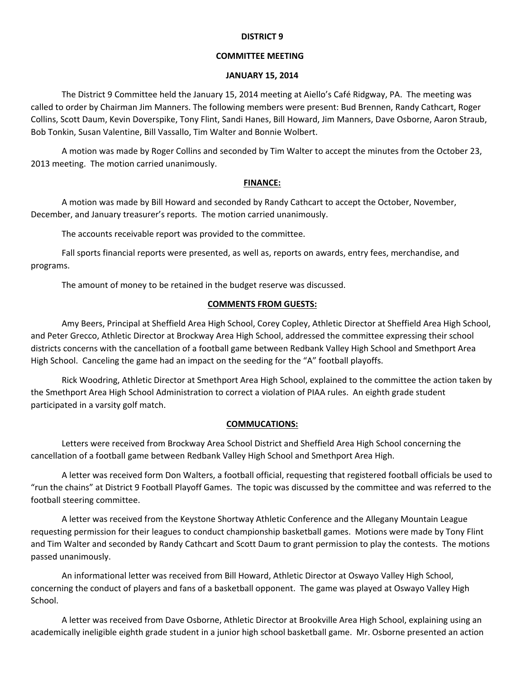#### **DISTRICT 9**

## **COMMITTEE MEETING**

#### **JANUARY 15, 2014**

The District 9 Committee held the January 15, 2014 meeting at Aiello's Café Ridgway, PA. The meeting was called to order by Chairman Jim Manners. The following members were present: Bud Brennen, Randy Cathcart, Roger Collins, Scott Daum, Kevin Doverspike, Tony Flint, Sandi Hanes, Bill Howard, Jim Manners, Dave Osborne, Aaron Straub, Bob Tonkin, Susan Valentine, Bill Vassallo, Tim Walter and Bonnie Wolbert.

A motion was made by Roger Collins and seconded by Tim Walter to accept the minutes from the October 23, 2013 meeting. The motion carried unanimously.

## **FINANCE:**

A motion was made by Bill Howard and seconded by Randy Cathcart to accept the October, November, December, and January treasurer's reports. The motion carried unanimously.

The accounts receivable report was provided to the committee.

Fall sports financial reports were presented, as well as, reports on awards, entry fees, merchandise, and programs.

The amount of money to be retained in the budget reserve was discussed.

# **COMMENTS FROM GUESTS:**

Amy Beers, Principal at Sheffield Area High School, Corey Copley, Athletic Director at Sheffield Area High School, and Peter Grecco, Athletic Director at Brockway Area High School, addressed the committee expressing their school districts concerns with the cancellation of a football game between Redbank Valley High School and Smethport Area High School. Canceling the game had an impact on the seeding for the "A" football playoffs.

Rick Woodring, Athletic Director at Smethport Area High School, explained to the committee the action taken by the Smethport Area High School Administration to correct a violation of PIAA rules. An eighth grade student participated in a varsity golf match.

## **COMMUCATIONS:**

Letters were received from Brockway Area School District and Sheffield Area High School concerning the cancellation of a football game between Redbank Valley High School and Smethport Area High.

A letter was received form Don Walters, a football official, requesting that registered football officials be used to "run the chains" at District 9 Football Playoff Games. The topic was discussed by the committee and was referred to the football steering committee.

A letter was received from the Keystone Shortway Athletic Conference and the Allegany Mountain League requesting permission for their leagues to conduct championship basketball games. Motions were made by Tony Flint and Tim Walter and seconded by Randy Cathcart and Scott Daum to grant permission to play the contests. The motions passed unanimously.

An informational letter was received from Bill Howard, Athletic Director at Oswayo Valley High School, concerning the conduct of players and fans of a basketball opponent. The game was played at Oswayo Valley High School.

A letter was received from Dave Osborne, Athletic Director at Brookville Area High School, explaining using an academically ineligible eighth grade student in a junior high school basketball game. Mr. Osborne presented an action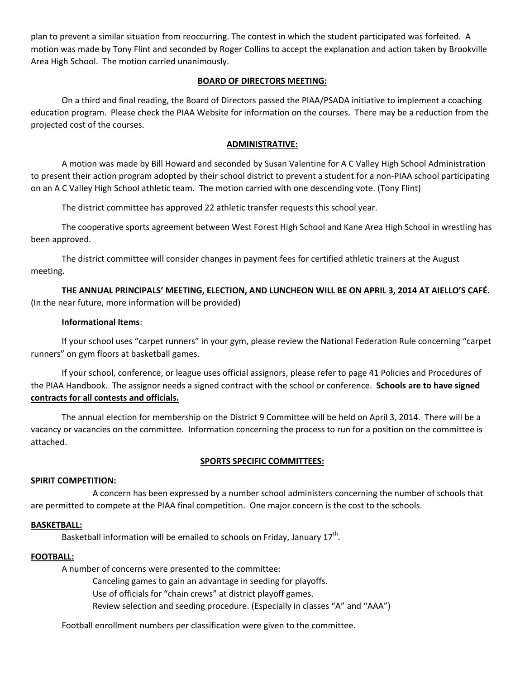plan to prevent a similar situation from reoccurring. The contest in which the student participated was forfeited. A motion was made by Tony Flint and seconded by Roger Collins to accept the explanation and action taken by Brookville Area High School. The motion carried unanimously.

## **BOARD OF DIRECTORS MEETING:**

On a third and final reading, the Board of Directors passed the PIAA/PSADA initiative to implement a coaching education program. Please check the PIAA Website for information on the courses. There may be a reduction from the projected cost of the courses.

## **ADMINISTRATIVE:**

A motion was made by Bill Howard and seconded by Susan Valentine for A C Valley High School Administration to present their action program adopted by their school district to prevent a student for a non‐PIAA school participating on an A C Valley High School athletic team. The motion carried with one descending vote. (Tony Flint)

The district committee has approved 22 athletic transfer requests this school year.

The cooperative sports agreement between West Forest High School and Kane Area High School in wrestling has been approved.

The district committee will consider changes in payment fees for certified athletic trainers at the August meeting.

## **THE ANNUAL PRINCIPALS' MEETING, ELECTION, AND LUNCHEON WILL BE ON APRIL 3, 2014 AT AIELLO'S CAFÉ.**

(In the near future, more information will be provided)

## **Informational Items**:

If your school uses "carpet runners" in your gym, please review the National Federation Rule concerning "carpet runners" on gym floors at basketball games.

If your school, conference, or league uses official assignors, please refer to page 41 Policies and Procedures of the PIAA Handbook. The assignor needs a signed contract with the school or conference. **Schools are to have signed contracts for all contests and officials.**

The annual election for membership on the District 9 Committee will be held on April 3, 2014. There will be a vacancy or vacancies on the committee. Information concerning the process to run for a position on the committee is attached.

## **SPORTS SPECIFIC COMMITTEES:**

#### **SPIRIT COMPETITION:**

 A concern has been expressed by a number school administers concerning the number of schools that are permitted to compete at the PIAA final competition. One major concern is the cost to the schools.

#### **BASKETBALL:**

Basketball information will be emailed to schools on Friday, January 17<sup>th</sup>.

## **FOOTBALL:**

A number of concerns were presented to the committee:

Canceling games to gain an advantage in seeding for playoffs.

Use of officials for "chain crews" at district playoff games.

Review selection and seeding procedure. (Especially in classes "A" and "AAA")

Football enrollment numbers per classification were given to the committee.